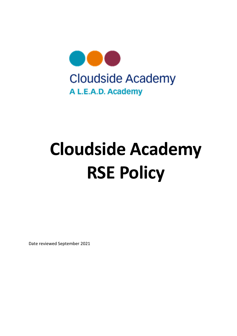

# Cloudside Academy RSE Policy

Date reviewed September 2021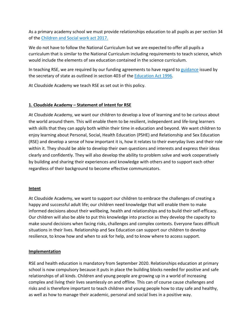As a primary academy school we must provide relationships education to all pupils as per section 34 of the Children and Social work act 2017.

We do not have to follow the National Curriculum but we are expected to offer all pupils a curriculum that is similar to the National Curriculum including requirements to teach science, which would include the elements of sex education contained in the science curriculum.

In teaching RSE, we are required by our funding agreements to have regard to guidance issued by the secretary of state as outlined in section 403 of the Education Act 1996.

At Cloudside Academy we teach RSE as set out in this policy.

## 1. Cloudside Academy – Statement of Intent for RSE

At Cloudside Academy, we want our children to develop a love of learning and to be curious about the world around them. This will enable them to be resilient, independent and life-long learners with skills that they can apply both within their time in education and beyond. We want children to enjoy learning about Personal, Social, Health Education (PSHE) and Relationship and Sex Education (RSE) and develop a sense of how important it is, how it relates to their everyday lives and their role within it. They should be able to develop their own questions and interests and express their ideas clearly and confidently. They will also develop the ability to problem solve and work cooperatively by building and sharing their experiences and knowledge with others and to support each other regardless of their background to become effective communicators.

#### Intent

At Cloudside Academy, we want to support our children to embrace the challenges of creating a happy and successful adult life; our children need knowledge that will enable them to make informed decisions about their wellbeing, health and relationships and to build their self-efficacy. Our children will also be able to put this knowledge into practice as they develop the capacity to make sound decisions when facing risks, challenges and complex contexts. Everyone faces difficult situations in their lives. Relationship and Sex Education can support our children to develop resilience, to know how and when to ask for help, and to know where to access support.

## Implementation

RSE and health education is mandatory from September 2020. Relationships education at primary school is now compulsory because it puts in place the building blocks needed for positive and safe relationships of all kinds. Children and young people are growing up in a world of increasing complex and living their lives seamlessly on and offline. This can of course cause challenges and risks and is therefore important to teach children and young people how to stay safe and healthy, as well as how to manage their academic, personal and social lives in a positive way.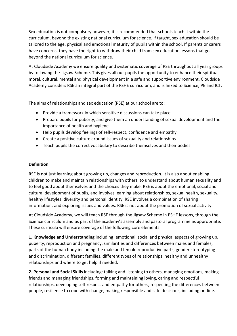Sex education is not compulsory however, it is recommended that schools teach it within the curriculum, beyond the existing national curriculum for science. If taught, sex education should be tailored to the age, physical and emotional maturity of pupils within the school. If parents or carers have concerns, they have the right to withdraw their child from sex education lessons that go beyond the national curriculum for science.

At Cloudside Academy we ensure quality and systematic coverage of RSE throughout all year groups by following the Jigsaw Scheme. This gives all our pupils the opportunity to enhance their spiritual, moral, cultural, mental and physical development in a safe and supportive environment. Cloudside Academy considers RSE an integral part of the PSHE curriculum, and is linked to Science, PE and ICT.

The aims of relationships and sex education (RSE) at our school are to:

- Provide a framework in which sensitive discussions can take place
- Prepare pupils for puberty, and give them an understanding of sexual development and the importance of health and hygiene
- Help pupils develop feelings of self-respect, confidence and empathy
- Create a positive culture around issues of sexuality and relationships
- Teach pupils the correct vocabulary to describe themselves and their bodies

## Definition

RSE is not just learning about growing up, changes and reproduction. It is also about enabling children to make and maintain relationships with others, to understand about human sexuality and to feel good about themselves and the choices they make. RSE is about the emotional, social and cultural development of pupils, and involves learning about relationships, sexual health, sexuality, healthy lifestyles, diversity and personal identity. RSE involves a combination of sharing information, and exploring issues and values. RSE is not about the promotion of sexual activity.

At Cloudside Academy, we will teach RSE through the Jigsaw Scheme in PSHE lessons, through the Science curriculum and as part of the academy's assembly and pastoral programme as appropriate. These curricula will ensure coverage of the following core elements:

1. Knowledge and Understanding including: emotional, social and physical aspects of growing up, puberty, reproduction and pregnancy, similarities and differences between males and females, parts of the human body including the male and female reproductive parts, gender stereotyping and discrimination, different families, different types of relationships, healthy and unhealthy relationships and where to get help if needed.

2. Personal and Social Skills including: talking and listening to others, managing emotions, making friends and managing friendships, forming and maintaining loving, caring and respectful relationships, developing self-respect and empathy for others, respecting the differences between people, resilience to cope with change, making responsible and safe decisions, including on-line.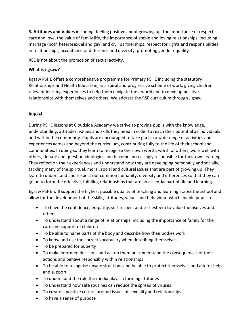3. Attitudes and Values including: feeling positive about growing up, the importance of respect, care and love, the value of family life, the importance of stable and loving relationships, including marriage (both heterosexual and gay) and civil partnerships, respect for rights and responsibilities in relationships, acceptance of difference and diversity, promoting gender equality

RSE is not about the promotion of sexual activity.

## What is Jigsaw?

Jigsaw PSHE offers a comprehensive programme for Primary PSHE including the statutory Relationships and Health Education, in a spiral and progressive scheme of work, giving children relevant learning experiences to help them navigate their world and to develop positive relationships with themselves and others. We address the RSE curriculum through Jigsaw.

## Impact

During PSHE lessons at Cloudside Academy we strive to provide pupils with the knowledge, understanding, attitudes, values and skills they need in order to reach their potential as individuals and within the community. Pupils are encouraged to take part in a wide range of activities and experiences across and beyond the curriculum, contributing fully to the life of their school and communities. In doing so they learn to recognise their own worth, worth of others, work well with others, debate and question ideologies and become increasingly responsible for their own learning. They reflect on their experiences and understand how they are developing personally and socially, tackling many of the spiritual, moral, social and cultural issues that are part of growing up. They learn to understand and respect our common humanity; diversity and differences so that they can go on to form the effective, fulfilling relationships that are an essential part of life and learning.

Jigsaw PSHE will support the highest possible quality of teaching and learning across the school and allow for the development of the skills, attitudes, values and behaviour, which enable pupils to:

- To have the confidence, empathy, self-respect and self-esteem to value themselves and others
- To understand about a range of relationships, including the importance of family for the care and support of children
- To be able to name parts of the body and describe how their bodies work
- To know and use the correct vocabulary when describing themselves
- To be prepared for puberty
- To make informed decisions and act on them but understand the consequences of their actions and behave responsibly within relationships
- To be able to recognise unsafe situations and be able to protect themselves and ask for help and support
- To understand the role the media plays in forming attitudes
- To understand how safe routines can reduce the spread of viruses
- To create a positive culture around issues of sexuality and relationships
- To have a sense of purpose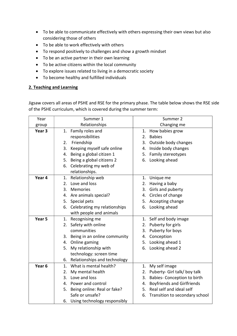- To be able to communicate effectively with others expressing their own views but also considering those of others
- To be able to work effectively with others
- To respond positively to challenges and show a growth mindset
- To be an active partner in their own learning
- To be active citizens within the local community
- To explore issues related to living in a democratic society
- To become healthy and fulfilled individuals

## 2. Teaching and Learning

Jigsaw covers all areas of PSHE and RSE for the primary phase. The table below shows the RSE side of the PSHE curriculum, which is covered during the summer term:

| Year              | Summer 1                         | Summer 2                                |  |
|-------------------|----------------------------------|-----------------------------------------|--|
| group             | Relationships                    | Changing me                             |  |
| Year <sub>3</sub> | 1. Family roles and              | How babies grow<br>1.                   |  |
|                   | responsibilities                 | <b>Babies</b><br>2.                     |  |
|                   | Friendship<br>2.                 | Outside body changes<br>3.              |  |
|                   | Keeping myself safe online<br>3. | 4. Inside body changes                  |  |
|                   | Being a global citizen 1<br>4.   | Family stereotypes<br>5.                |  |
|                   | 5. Being a global citizens 2     | 6. Looking ahead                        |  |
|                   | 6. Celebrating my web of         |                                         |  |
|                   | relationships.                   |                                         |  |
| Year 4            | 1. Relationship web              | 1. Unique me                            |  |
|                   | Love and loss<br>2.              | Having a baby<br>2.                     |  |
|                   | Memories<br>3.                   | Girls and puberty<br>3.                 |  |
|                   | 4. Are animals special?          | 4. Circles of change                    |  |
|                   | 5. Special pets                  | 5. Accepting change                     |  |
|                   | 6. Celebrating my relationships  | Looking ahead<br>6.                     |  |
|                   | with people and animals          |                                         |  |
| Year 5            | Recognising me<br>1.             | 1. Self and body image                  |  |
|                   | Safety with online<br>2.         | Puberty for girls<br>2.                 |  |
|                   | communities                      | 3. Puberty for boys                     |  |
|                   | 3. Being in an online community  | Conception<br>4.                        |  |
|                   | 4. Online gaming                 | Looking ahead 1<br>5.                   |  |
|                   | 5. My relationship with          | 6. Looking ahead 2                      |  |
|                   | technology: screen time          |                                         |  |
|                   | 6. Relationships and technology  |                                         |  |
| Year <sub>6</sub> | What is mental health?<br>1.     | My self image<br>1.                     |  |
|                   | My mental health<br>2.           | Puberty- Girl talk/ boy talk<br>2.      |  |
|                   | 3. Love and loss                 | Babies- Conception to birth<br>3.       |  |
|                   | 4. Power and control             | <b>Boyfriends and Girlfriends</b><br>4. |  |
|                   | 5. Being online: Real or fake?   | 5. Real self and ideal self             |  |
|                   | Safe or unsafe?                  | Transition to secondary school<br>6.    |  |
|                   | 6. Using technology responsibly  |                                         |  |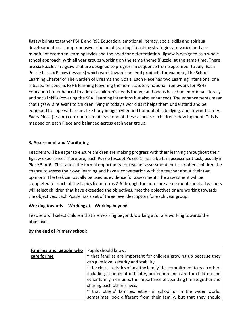Jigsaw brings together PSHE and RSE Education, emotional literacy, social skills and spiritual development in a comprehensive scheme of learning. Teaching strategies are varied and are mindful of preferred learning styles and the need for differentiation. Jigsaw is designed as a whole school approach, with all year groups working on the same theme (Puzzle) at the same time. There are six Puzzles in Jigsaw that are designed to progress in sequence from September to July. Each Puzzle has six Pieces (lessons) which work towards an 'end product', for example, The School Learning Charter or The Garden of Dreams and Goals. Each Piece has two Learning Intentions: one is based on specific PSHE learning (covering the non- statutory national framework for PSHE Education but enhanced to address children's needs today); and one is based on emotional literacy and social skills (covering the SEAL learning intentions but also enhanced). The enhancements mean that Jigsaw is relevant to children living in today's world as it helps them understand and be equipped to cope with issues like body image, cyber and homophobic bullying, and internet safety. Every Piece (lesson) contributes to at least one of these aspects of children's development. This is mapped on each Piece and balanced across each year group.

## 3. Assessment and Monitoring

Teachers will be eager to ensure children are making progress with their learning throughout their Jigsaw experience. Therefore, each Puzzle (except Puzzle 1) has a built-in assessment task, usually in Piece 5 or 6. This task is the formal opportunity for teacher assessment, but also offers children the chance to assess their own learning and have a conversation with the teacher about their two opinions. The task can usually be used as evidence for assessment. The assessment will be completed for each of the topics from terms 2-6 through the non-core assessment sheets. Teachers will select children that have exceeded the objectives, met the objectives or are working towards the objectives. Each Puzzle has a set of three level descriptors for each year group:

## Working towards Working at Working beyond

Teachers will select children that are working beyond, working at or are working towards the objectives.

#### By the end of Primary school:

| Families and people who | Pupils should know:                                                     |
|-------------------------|-------------------------------------------------------------------------|
| care for me             | ~ that families are important for children growing up because they      |
|                         | can give love, security and stability.                                  |
|                         | ~ the characteristics of healthy family life, commitment to each other, |
|                         | including in times of difficulty, protection and care for children and  |
|                         | other family members, the importance of spending time together and      |
|                         | sharing each other's lives.                                             |
|                         | ~ that others' families, either in school or in the wider world,        |
|                         | sometimes look different from their family, but that they should        |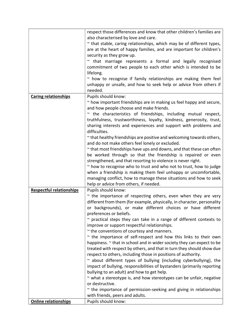|                                 | respect those differences and know that other children's families are                                                    |
|---------------------------------|--------------------------------------------------------------------------------------------------------------------------|
|                                 | also characterised by love and care.                                                                                     |
|                                 | $\sim$ that stable, caring relationships, which may be of different types,                                               |
|                                 | are at the heart of happy families, and are important for children's                                                     |
|                                 | security as they grow up.                                                                                                |
|                                 | ~ that marriage represents a formal and legally recognised                                                               |
|                                 | commitment of two people to each other which is intended to be                                                           |
|                                 | lifelong.                                                                                                                |
|                                 | $\sim$ how to recognise if family relationships are making them feel                                                     |
|                                 | unhappy or unsafe, and how to seek help or advice from others if                                                         |
|                                 | needed.                                                                                                                  |
| <b>Caring relationships</b>     | Pupils should know:                                                                                                      |
|                                 | ~ how important friendships are in making us feel happy and secure,                                                      |
|                                 | and how people choose and make friends.                                                                                  |
|                                 | $\sim$ the characteristics of friendships, including mutual respect,                                                     |
|                                 | truthfulness, trustworthiness, loyalty, kindness, generosity, trust,                                                     |
|                                 | sharing interests and experiences and support with problems and                                                          |
|                                 | difficulties.                                                                                                            |
|                                 |                                                                                                                          |
|                                 | ~ that healthy friendships are positive and welcoming towards others,<br>and do not make others feel lonely or excluded. |
|                                 |                                                                                                                          |
|                                 | $\sim$ that most friendships have ups and downs, and that these can often                                                |
|                                 | be worked through so that the friendship is repaired or even                                                             |
|                                 | strengthened, and that resorting to violence is never right.                                                             |
|                                 | $\sim$ how to recognise who to trust and who not to trust, how to judge                                                  |
|                                 | when a friendship is making them feel unhappy or uncomfortable,                                                          |
|                                 | managing conflict, how to manage these situations and how to seek                                                        |
|                                 | help or advice from others, if needed.                                                                                   |
| <b>Respectful relationships</b> | Pupils should know:                                                                                                      |
|                                 | $\sim$ the importance of respecting others, even when they are very                                                      |
|                                 | different from them (for example, physically, in character, personality                                                  |
|                                 | or backgrounds), or make different choices or have different                                                             |
|                                 | preferences or beliefs.                                                                                                  |
|                                 | $\sim$ practical steps they can take in a range of different contexts to                                                 |
|                                 | improve or support respectful relationships.                                                                             |
|                                 | $\sim$ the conventions of courtesy and manners.                                                                          |
|                                 | $\sim$ the importance of self-respect and how this links to their own                                                    |
|                                 | happiness. $\sim$ that in school and in wider society they can expect to be                                              |
|                                 | treated with respect by others, and that in turn they should show due                                                    |
|                                 | respect to others, including those in positions of authority.                                                            |
|                                 | ~ about different types of bullying (including cyberbullying), the                                                       |
|                                 | impact of bullying, responsibilities of bystanders (primarily reporting                                                  |
|                                 | bullying to an adult) and how to get help.                                                                               |
|                                 | $\sim$ what a stereotype is, and how stereotypes can be unfair, negative                                                 |
|                                 | or destructive.                                                                                                          |
|                                 | $\sim$ the importance of permission-seeking and giving in relationships                                                  |
|                                 | with friends, peers and adults.                                                                                          |
| <b>Online relationships</b>     | Pupils should know:                                                                                                      |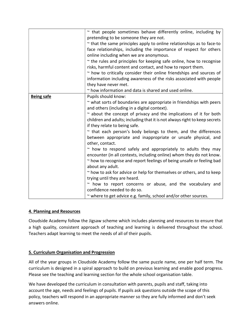|                   | $\sim$ that people sometimes behave differently online, including by        |  |
|-------------------|-----------------------------------------------------------------------------|--|
|                   | pretending to be someone they are not.                                      |  |
|                   | $\sim$ that the same principles apply to online relationships as to face-to |  |
|                   | face relationships, including the importance of respect for others          |  |
|                   | online including when we are anonymous.                                     |  |
|                   | $\sim$ the rules and principles for keeping safe online, how to recognise   |  |
|                   | risks, harmful content and contact, and how to report them.                 |  |
|                   | $\sim$ how to critically consider their online friendships and sources of   |  |
|                   | information including awareness of the risks associated with people         |  |
|                   | they have never met.                                                        |  |
|                   | ~ how information and data is shared and used online.                       |  |
| <b>Being safe</b> | Pupils should know:                                                         |  |
|                   | ~ what sorts of boundaries are appropriate in friendships with peers        |  |
|                   | and others (including in a digital context).                                |  |
|                   | $\sim$ about the concept of privacy and the implications of it for both     |  |
|                   | children and adults; including that it is not always right to keep secrets  |  |
|                   | if they relate to being safe.                                               |  |
|                   | $\sim$ that each person's body belongs to them, and the differences         |  |
|                   | between appropriate and inappropriate or unsafe physical, and               |  |
|                   | other, contact.                                                             |  |
|                   | $\sim$ how to respond safely and appropriately to adults they may           |  |
|                   | encounter (in all contexts, including online) whom they do not know.        |  |
|                   | ~ how to recognise and report feelings of being unsafe or feeling bad       |  |
|                   | about any adult.                                                            |  |
|                   | ~ how to ask for advice or help for themselves or others, and to keep       |  |
|                   | trying until they are heard.                                                |  |
|                   | ~ how to report concerns or abuse, and the vocabulary and                   |  |
|                   | confidence needed to do so.                                                 |  |
|                   | ~ where to get advice e.g. family, school and/or other sources.             |  |

# 4. Planning and Resources

Cloudside Academy follow the Jigsaw scheme which includes planning and resources to ensure that a high quality, consistent approach of teaching and learning is delivered throughout the school. Teachers adapt learning to meet the needs of all of their pupils.

## 5. Curriculum Organisation and Progression

All of the year groups in Cloudside Academy follow the same puzzle name, one per half term. The curriculum is designed in a spiral approach to build on previous learning and enable good progress. Please see the teaching and learning section for the whole school organisation table.

We have developed the curriculum in consultation with parents, pupils and staff, taking into account the age, needs and feelings of pupils. If pupils ask questions outside the scope of this policy, teachers will respond in an appropriate manner so they are fully informed and don't seek answers online.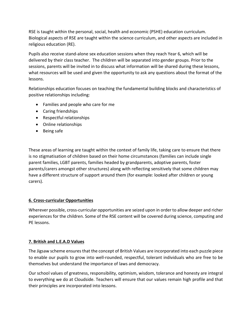RSE is taught within the personal, social, health and economic (PSHE) education curriculum. Biological aspects of RSE are taught within the science curriculum, and other aspects are included in religious education (RE).

Pupils also receive stand-alone sex education sessions when they reach Year 6, which will be delivered by their class teacher. The children will be separated into gender groups. Prior to the sessions, parents will be invited in to discuss what information will be shared during these lessons, what resources will be used and given the opportunity to ask any questions about the format of the lessons.

Relationships education focuses on teaching the fundamental building blocks and characteristics of positive relationships including:

- Families and people who care for me
- Caring friendships
- Respectful relationships
- Online relationships
- Being safe

These areas of learning are taught within the context of family life, taking care to ensure that there is no stigmatisation of children based on their home circumstances (families can include single parent families, LGBT parents, families headed by grandparents, adoptive parents, foster parents/carers amongst other structures) along with reflecting sensitively that some children may have a different structure of support around them (for example: looked after children or young carers).

# 6. Cross-curricular Opportunities

Wherever possible, cross-curricular opportunities are seized upon in order to allow deeper and richer experiences for the children. Some of the RSE content will be covered during science, computing and PE lessons.

# 7. British and L.E.A.D Values

The Jigsaw scheme ensures that the concept of British Values are incorporated into each puzzle piece to enable our pupils to grow into well-rounded, respectful, tolerant individuals who are free to be themselves but understand the importance of laws and democracy.

Our school values of greatness, responsibility, optimism, wisdom, tolerance and honesty are integral to everything we do at Cloudside. Teachers will ensure that our values remain high profile and that their principles are incorporated into lessons.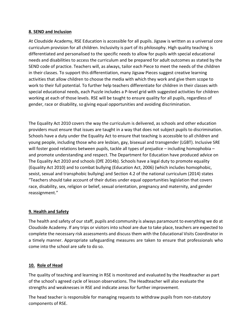## 8. SEND and Inclusion

At Cloudside Academy, RSE Education is accessible for all pupils. Jigsaw is written as a universal core curriculum provision for all children. Inclusivity is part of its philosophy. High quality teaching is differentiated and personalised to the specific needs to allow for pupils with special educational needs and disabilities to access the curriculum and be prepared for adult outcomes as stated by the SEND code of practice. Teachers will, as always, tailor each Piece to meet the needs of the children in their classes. To support this differentiation, many Jigsaw Pieces suggest creative learning activities that allow children to choose the media with which they work and give them scope to work to their full potential. To further help teachers differentiate for children in their classes with special educational needs, each Puzzle includes a P-level grid with suggested activities for children working at each of those levels. RSE will be taught to ensure quality for all pupils, regardless of gender, race or disability, so giving equal opportunities and avoiding discrimination.

The Equality Act 2010 covers the way the curriculum is delivered, as schools and other education providers must ensure that issues are taught in a way that does not subject pupils to discrimination. Schools have a duty under the Equality Act to ensure that teaching is accessible to all children and young people, including those who are lesbian, gay, bisexual and transgender (LGBT). Inclusive SRE will foster good relations between pupils, tackle all types of prejudice – including homophobia – and promote understanding and respect. The Department for Education have produced advice on The Equality Act 2010 and schools (DfE 2014b). Schools have a legal duty to promote equality (Equality Act 2010) and to combat bullying (Education Act, 2006) (which includes homophobic, sexist, sexual and transphobic bullying) and Section 4.2 of the national curriculum (2014) states "Teachers should take account of their duties under equal opportunities legislation that covers race, disability, sex, religion or belief, sexual orientation, pregnancy and maternity, and gender reassignment."

# 9. Health and Safety

The health and safety of our staff, pupils and community is always paramount to everything we do at Cloudside Academy. If any trips or visitors into school are due to take place, teachers are expected to complete the necessary risk assessments and discuss them with the Educational Visits Coordinator in a timely manner. Appropriate safeguarding measures are taken to ensure that professionals who come into the school are safe to do so.

# 10. Role of Head

The quality of teaching and learning in RSE is monitored and evaluated by the Headteacher as part of the school's agreed cycle of lesson observations. The Headteacher will also evaluate the strengths and weaknesses in RSE and indicate areas for further improvement.

The head teacher is responsible for managing requests to withdraw pupils from non-statutory components of RSE.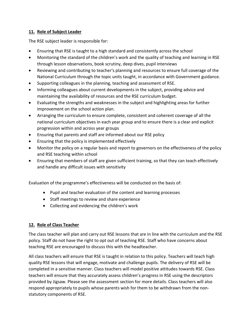# 11. Role of Subject Leader

The RSE subject leader is responsible for:

- Ensuring that RSE is taught to a high standard and consistently across the school
- Monitoring the standard of the children's work and the quality of teaching and learning in RSE through lesson observations, book scrutiny, deep dives, pupil interviews
- Reviewing and contributing to teacher's planning and resources to ensure full coverage of the National Curriculum through the topic units taught, in accordance with Government guidance.
- Supporting colleagues in the planning, teaching and assessment of RSE.
- Informing colleagues about current developments in the subject, providing advice and maintaining the availability of resources and the RSE curriculum budget.
- Evaluating the strengths and weaknesses in the subject and highlighting areas for further improvement on the school action plan.
- Arranging the curriculum to ensure complete, consistent and coherent coverage of all the national curriculum objectives in each year group and to ensure there is a clear and explicit progression within and across year groups
- Ensuring that parents and staff are informed about our RSE policy
- Ensuring that the policy is implemented effectively
- Monitor the policy on a regular basis and report to governors on the effectiveness of the policy and RSE teaching within school
- Ensuring that members of staff are given sufficient training, so that they can teach effectively and handle any difficult issues with sensitivity

Evaluation of the programme's effectiveness will be conducted on the basis of:

- Pupil and teacher evaluation of the content and learning processes
- Staff meetings to review and share experience
- Collecting and evidencing the children's work

## 12. Role of Class Teacher

The class teacher will plan and carry out RSE lessons that are in line with the curriculum and the RSE policy. Staff do not have the right to opt out of teaching RSE. Staff who have concerns about teaching RSE are encouraged to discuss this with the headteacher.

All class teachers will ensure that RSE is taught in relation to this policy. Teachers will teach high quality RSE lessons that will engage, motivate and challenge pupils. The delivery of RSE will be completed in a sensitive manner. Class teachers will model positive attitudes towards RSE. Class teachers will ensure that they accurately assess children's progress in RSE using the descriptors provided by Jigsaw. Please see the assessment section for more details. Class teachers will also respond appropriately to pupils whose parents wish for them to be withdrawn from the nonstatutory components of RSE.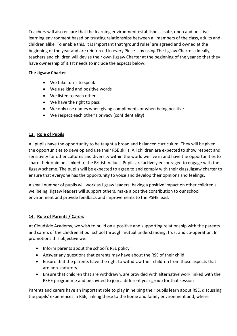Teachers will also ensure that the learning environment establishes a safe, open and positive learning environment based on trusting relationships between all members of the class, adults and children alike. To enable this, it is important that 'ground rules' are agreed and owned at the beginning of the year and are reinforced in every Piece – by using The Jigsaw Charter. (Ideally, teachers and children will devise their own Jigsaw Charter at the beginning of the year so that they have ownership of it.) It needs to include the aspects below:

## The Jigsaw Charter

- We take turns to speak
- We use kind and positive words
- We listen to each other
- We have the right to pass
- We only use names when giving compliments or when being positive
- We respect each other's privacy (confidentiality)

# 13. Role of Pupils

All pupils have the opportunity to be taught a broad and balanced curriculum. They will be given the opportunities to develop and use their RSE skills. All children are expected to show respect and sensitivity for other cultures and diversity within the world we live in and have the opportunities to share their opinions linked to the British Values. Pupils are actively encouraged to engage with the Jigsaw scheme. The pupils will be expected to agree to and comply with their class Jigsaw charter to ensure that everyone has the opportunity to voice and develop their opinions and feelings.

A small number of pupils will work as Jigsaw leaders, having a positive impact on other children's wellbeing. Jigsaw leaders will support others, make a positive contribution to our school environment and provide feedback and improvements to the PSHE lead.

# 14. Role of Parents / Carers

At Cloudside Academy, we wish to build on a positive and supporting relationship with the parents and carers of the children at our school through mutual understanding, trust and co-operation. In promotions this objective we:

- Inform parents about the school's RSE policy
- Answer any questions that parents may have about the RSE of their child
- Ensure that the parents have the right to withdraw their children from those aspects that are non-statutory
- Ensure that children that are withdrawn, are provided with alternative work linked with the PSHE programme and be invited to join a different year group for that session

Parents and carers have an important role to play in helping their pupils learn about RSE, discussing the pupils' experiences in RSE, linking these to the home and family environment and, where